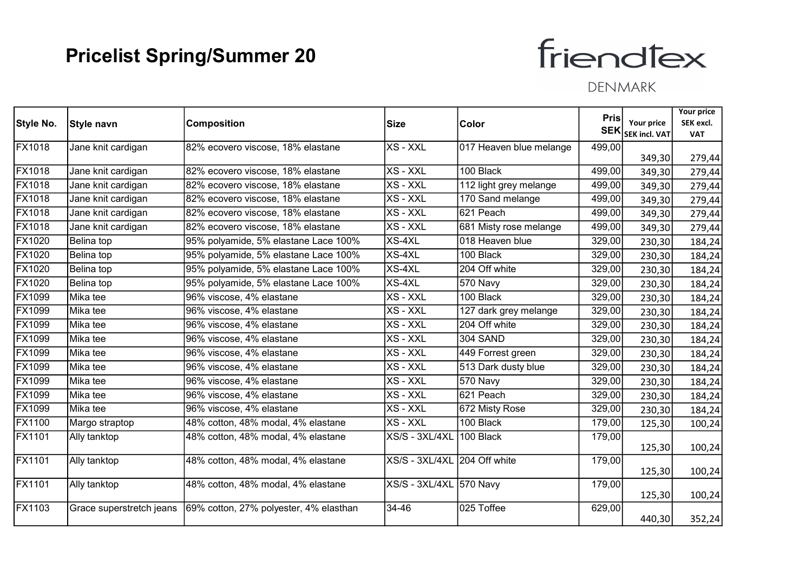# friendfex

|               |                          |                                        |                         |                         | Pris   |                                    | <b>Your price</b>       |
|---------------|--------------------------|----------------------------------------|-------------------------|-------------------------|--------|------------------------------------|-------------------------|
| Style No.     | Style navn               | <b>Composition</b>                     | Size                    | Color                   | SEK    | Your price<br><b>SEK incl. VAT</b> | SEK excl.<br><b>VAT</b> |
| FX1018        | Jane knit cardigan       | 82% ecovero viscose, 18% elastane      | XS - XXL                | 017 Heaven blue melange | 499,00 |                                    |                         |
|               |                          |                                        |                         |                         |        | 349,30                             | 279,44                  |
| FX1018        | Jane knit cardigan       | 82% ecovero viscose, 18% elastane      | XS - XXL                | 100 Black               | 499,00 | 349,30                             | 279,44                  |
| <b>FX1018</b> | Jane knit cardigan       | 82% ecovero viscose, 18% elastane      | XS - XXL                | 112 light grey melange  | 499,00 | 349,30                             | 279,44                  |
| FX1018        | Jane knit cardigan       | 82% ecovero viscose, 18% elastane      | XS - XXL                | 170 Sand melange        | 499,00 | 349,30                             | 279,44                  |
| FX1018        | Jane knit cardigan       | 82% ecovero viscose, 18% elastane      | XS - XXL                | 621 Peach               | 499,00 | 349,30                             | 279,44                  |
| <b>FX1018</b> | Jane knit cardigan       | 82% ecovero viscose, 18% elastane      | XS - XXL                | 681 Misty rose melange  | 499,00 | 349,30                             | 279,44                  |
| FX1020        | Belina top               | 95% polyamide, 5% elastane Lace 100%   | XS-4XL                  | 018 Heaven blue         | 329,00 | 230,30                             | 184,24                  |
| FX1020        | Belina top               | 95% polyamide, 5% elastane Lace 100%   | XS-4XL                  | 100 Black               | 329,00 | 230,30                             | 184,24                  |
| FX1020        | Belina top               | 95% polyamide, 5% elastane Lace 100%   | XS-4XL                  | 204 Off white           | 329,00 | 230,30                             | 184,24                  |
| <b>FX1020</b> | Belina top               | 95% polyamide, 5% elastane Lace 100%   | XS-4XL                  | 570 Navy                | 329,00 | 230,30                             | 184,24                  |
| FX1099        | Mika tee                 | 96% viscose, 4% elastane               | XS - XXL                | 100 Black               | 329,00 | 230,30                             | 184,24                  |
| FX1099        | Mika tee                 | 96% viscose, 4% elastane               | XS - XXL                | 127 dark grey melange   | 329,00 | 230,30                             | 184,24                  |
| FX1099        | Mika tee                 | 96% viscose, 4% elastane               | XS - XXL                | 204 Off white           | 329,00 | 230,30                             | 184,24                  |
| FX1099        | Mika tee                 | 96% viscose, 4% elastane               | XS - XXL                | <b>304 SAND</b>         | 329,00 | 230,30                             | 184,24                  |
| FX1099        | Mika tee                 | 96% viscose, 4% elastane               | XS - XXL                | 449 Forrest green       | 329,00 | 230,30                             | 184,24                  |
| FX1099        | Mika tee                 | 96% viscose, 4% elastane               | XS - XXL                | 513 Dark dusty blue     | 329,00 | 230,30                             | 184,24                  |
| FX1099        | Mika tee                 | 96% viscose, 4% elastane               | XS - XXL                | 570 Navy                | 329,00 | 230,30                             | 184,24                  |
| FX1099        | Mika tee                 | 96% viscose, 4% elastane               | XS - XXL                | 621 Peach               | 329,00 | 230,30                             | 184,24                  |
| FX1099        | Mika tee                 | 96% viscose, 4% elastane               | XS - XXL                | 672 Misty Rose          | 329,00 | 230,30                             | 184,24                  |
| FX1100        | Margo straptop           | 48% cotton, 48% modal, 4% elastane     | XS - XXL                | 100 Black               | 179,00 | 125,30                             | 100,24                  |
| FX1101        | Ally tanktop             | 48% cotton, 48% modal, 4% elastane     | XS/S - 3XL/4XL          | 100 Black               | 179,00 |                                    |                         |
|               |                          |                                        |                         |                         |        | 125,30                             | 100,24                  |
| FX1101        | Ally tanktop             | 48% cotton, 48% modal, 4% elastane     | XS/S - 3XL/4XL          | 204 Off white           | 179,00 | 125,30                             | 100,24                  |
| <b>FX1101</b> | Ally tanktop             | 48% cotton, 48% modal, 4% elastane     | XS/S - 3XL/4XL 570 Navy |                         | 179,00 |                                    |                         |
|               |                          |                                        |                         |                         |        | 125,30                             | 100,24                  |
| FX1103        | Grace superstretch jeans | 69% cotton, 27% polyester, 4% elasthan | 34-46                   | 025 Toffee              | 629,00 | 440,30                             | 352,24                  |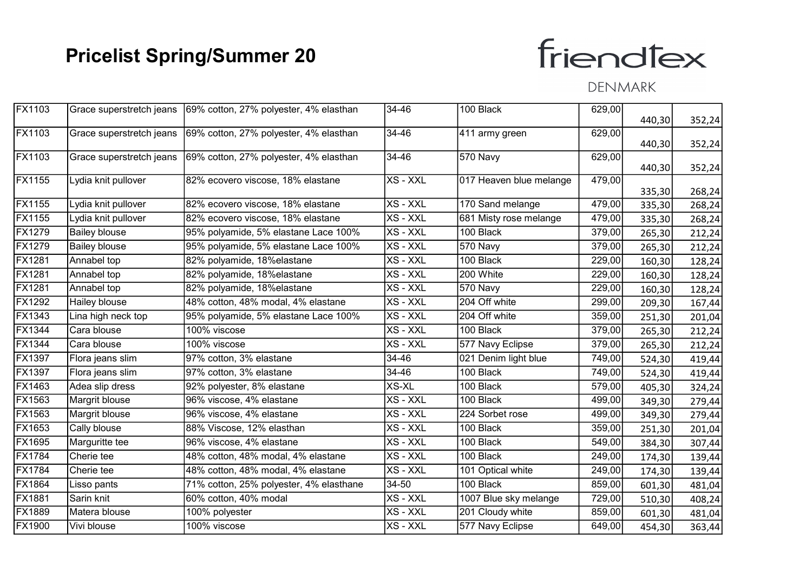# friendfex

| FX1103                                    | Grace superstretch jeans 69% cotton, 27% polyester, 4% elasthan | 34-46    | 100 Black               | 629,00 |        |        |
|-------------------------------------------|-----------------------------------------------------------------|----------|-------------------------|--------|--------|--------|
|                                           |                                                                 |          |                         |        | 440,30 | 352,24 |
| FX1103<br>Grace superstretch jeans        | 69% cotton, 27% polyester, 4% elasthan                          | 34-46    | 411 army green          | 629,00 |        |        |
|                                           |                                                                 |          |                         |        | 440,30 | 352,24 |
| <b>FX1103</b><br>Grace superstretch jeans | 69% cotton, 27% polyester, 4% elasthan                          | 34-46    | 570 Navy                | 629,00 | 440,30 | 352,24 |
| <b>FX1155</b><br>Lydia knit pullover      | 82% ecovero viscose, 18% elastane                               | XS - XXL | 017 Heaven blue melange | 479,00 |        |        |
|                                           |                                                                 |          |                         |        | 335,30 | 268,24 |
| <b>FX1155</b><br>Lydia knit pullover      | 82% ecovero viscose, 18% elastane                               | XS - XXL | 170 Sand melange        | 479,00 | 335,30 | 268,24 |
| FX1155<br>Lydia knit pullover             | 82% ecovero viscose, 18% elastane                               | XS - XXL | 681 Misty rose melange  | 479,00 | 335,30 | 268,24 |
| FX1279<br><b>Bailey blouse</b>            | 95% polyamide, 5% elastane Lace 100%                            | XS - XXL | 100 Black               | 379,00 | 265,30 | 212,24 |
| FX1279<br><b>Bailey blouse</b>            | 95% polyamide, 5% elastane Lace 100%                            | XS - XXL | 570 Navy                | 379,00 | 265,30 | 212,24 |
| FX1281<br>Annabel top                     | 82% polyamide, 18%elastane                                      | XS - XXL | 100 Black               | 229,00 | 160,30 | 128,24 |
| <b>FX1281</b><br>Annabel top              | 82% polyamide, 18%elastane                                      | XS - XXL | 200 White               | 229,00 | 160,30 | 128,24 |
| FX1281<br>Annabel top                     | 82% polyamide, 18%elastane                                      | XS - XXL | 570 Navy                | 229,00 | 160,30 | 128,24 |
| FX1292<br>Hailey blouse                   | 48% cotton, 48% modal, 4% elastane                              | XS - XXL | 204 Off white           | 299,00 | 209,30 | 167,44 |
| FX1343<br>Lina high neck top              | 95% polyamide, 5% elastane Lace 100%                            | XS - XXL | 204 Off white           | 359,00 | 251,30 | 201,04 |
| <b>FX1344</b><br>Cara blouse              | 100% viscose                                                    | XS - XXL | 100 Black               | 379,00 | 265,30 | 212,24 |
| FX1344<br>Cara blouse                     | 100% viscose                                                    | XS - XXL | 577 Navy Eclipse        | 379,00 | 265,30 | 212,24 |
| FX1397<br>Flora jeans slim                | 97% cotton, 3% elastane                                         | 34-46    | 021 Denim light blue    | 749,00 | 524,30 | 419,44 |
| FX1397<br>Flora jeans slim                | 97% cotton, 3% elastane                                         | 34-46    | 100 Black               | 749,00 | 524,30 | 419,44 |
| FX1463<br>Adea slip dress                 | 92% polyester, 8% elastane                                      | $XS-XL$  | 100 Black               | 579,00 | 405,30 | 324,24 |
| FX1563<br>Margrit blouse                  | 96% viscose, 4% elastane                                        | XS - XXL | 100 Black               | 499,00 | 349,30 | 279,44 |
| FX1563<br>Margrit blouse                  | 96% viscose, 4% elastane                                        | XS - XXL | 224 Sorbet rose         | 499,00 | 349,30 | 279,44 |
| FX1653<br>Cally blouse                    | 88% Viscose, 12% elasthan                                       | XS - XXL | 100 Black               | 359,00 | 251,30 | 201,04 |
| FX1695<br>Marguritte tee                  | 96% viscose, 4% elastane                                        | XS - XXL | 100 Black               | 549,00 | 384,30 | 307,44 |
| FX1784<br>Cherie tee                      | 48% cotton, 48% modal, 4% elastane                              | XS - XXL | 100 Black               | 249,00 | 174,30 | 139,44 |
| FX1784<br>Cherie tee                      | 48% cotton, 48% modal, 4% elastane                              | XS - XXL | 101 Optical white       | 249,00 | 174,30 | 139,44 |
| FX1864<br>Lisso pants                     | 71% cotton, 25% polyester, 4% elasthane                         | 34-50    | 100 Black               | 859,00 | 601,30 | 481,04 |
| FX1881<br>Sarin knit                      | 60% cotton, 40% modal                                           | XS - XXL | 1007 Blue sky melange   | 729,00 | 510,30 | 408,24 |
| FX1889<br>Matera blouse                   | 100% polyester                                                  | XS - XXL | 201 Cloudy white        | 859,00 | 601,30 | 481,04 |
| FX1900<br>Vivi blouse                     | 100% viscose                                                    | XS - XXL | 577 Navy Eclipse        | 649,00 | 454,30 | 363,44 |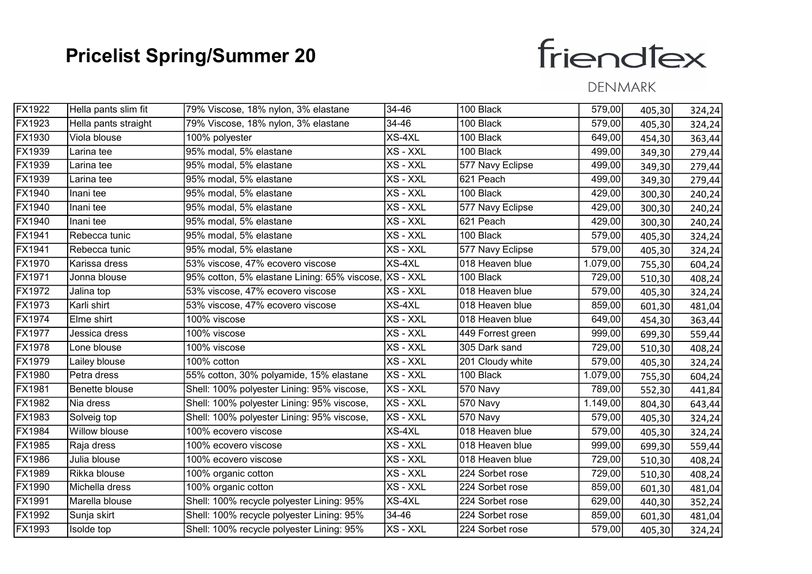# friendfex

| FX1922        | Hella pants slim fit | 79% Viscose, 18% nylon, 3% elastane                   | 34-46    | 100 Black         | 579,00   | 405,30 | 324,24 |
|---------------|----------------------|-------------------------------------------------------|----------|-------------------|----------|--------|--------|
| FX1923        | Hella pants straight | 79% Viscose, 18% nylon, 3% elastane                   | 34-46    | 100 Black         | 579,00   | 405,30 | 324,24 |
| FX1930        | Viola blouse         | 100% polyester                                        | XS-4XL   | 100 Black         | 649,00   | 454,30 | 363,44 |
| FX1939        | Larina tee           | 95% modal, 5% elastane                                | XS - XXL | 100 Black         | 499,00   | 349,30 | 279,44 |
| FX1939        | Larina tee           | 95% modal, 5% elastane                                | XS - XXL | 577 Navy Eclipse  | 499,00   | 349,30 | 279,44 |
| FX1939        | Larina tee           | 95% modal, 5% elastane                                | XS - XXL | 621 Peach         | 499,00   | 349,30 | 279,44 |
| FX1940        | Inani tee            | 95% modal, 5% elastane                                | XS - XXL | 100 Black         | 429,00   | 300,30 | 240,24 |
| FX1940        | Inani tee            | 95% modal, 5% elastane                                | XS - XXL | 577 Navy Eclipse  | 429,00   | 300,30 | 240,24 |
| FX1940        | Inani tee            | 95% modal, 5% elastane                                | XS - XXL | 621 Peach         | 429,00   | 300,30 | 240,24 |
| FX1941        | Rebecca tunic        | 95% modal, 5% elastane                                | XS - XXL | 100 Black         | 579,00   | 405,30 | 324,24 |
| FX1941        | Rebecca tunic        | 95% modal, 5% elastane                                | XS - XXL | 577 Navy Eclipse  | 579,00   | 405,30 | 324,24 |
| FX1970        | Karissa dress        | 53% viscose, 47% ecovero viscose                      | XS-4XL   | 018 Heaven blue   | 1.079,00 | 755,30 | 604,24 |
| FX1971        | Jonna blouse         | 95% cotton, 5% elastane Lining: 65% viscose, XS - XXL |          | 100 Black         | 729,00   | 510,30 | 408,24 |
| FX1972        | Jalina top           | 53% viscose, 47% ecovero viscose                      | XS - XXL | 018 Heaven blue   | 579,00   | 405,30 | 324,24 |
| FX1973        | Karli shirt          | 53% viscose, 47% ecovero viscose                      | XS-4XL   | 018 Heaven blue   | 859,00   | 601,30 | 481,04 |
| <b>FX1974</b> | Elme shirt           | 100% viscose                                          | XS - XXL | 018 Heaven blue   | 649,00   | 454,30 | 363,44 |
| FX1977        | Jessica dress        | 100% viscose                                          | XS - XXL | 449 Forrest green | 999,00   | 699,30 | 559,44 |
| FX1978        | Lone blouse          | 100% viscose                                          | XS - XXL | 305 Dark sand     | 729,00   | 510,30 | 408,24 |
| FX1979        | Lailey blouse        | 100% cotton                                           | XS - XXL | 201 Cloudy white  | 579,00   | 405,30 | 324,24 |
| FX1980        | Petra dress          | 55% cotton, 30% polyamide, 15% elastane               | XS - XXL | 100 Black         | 1.079,00 | 755,30 | 604,24 |
| FX1981        | Benette blouse       | Shell: 100% polyester Lining: 95% viscose,            | XS - XXL | 570 Navy          | 789,00   | 552,30 | 441,84 |
| FX1982        | Nia dress            | Shell: 100% polyester Lining: 95% viscose,            | XS - XXL | 570 Navy          | 1.149,00 | 804,30 | 643,44 |
| FX1983        | Solveig top          | Shell: 100% polyester Lining: 95% viscose,            | XS - XXL | 570 Navy          | 579,00   | 405,30 | 324,24 |
| FX1984        | Willow blouse        | 100% ecovero viscose                                  | XS-4XL   | 018 Heaven blue   | 579,00   | 405,30 | 324,24 |
| FX1985        | Raja dress           | 100% ecovero viscose                                  | XS - XXL | 018 Heaven blue   | 999,00   | 699,30 | 559,44 |
| <b>FX1986</b> | Julia blouse         | 100% ecovero viscose                                  | XS - XXL | 018 Heaven blue   | 729,00   | 510,30 | 408,24 |
| FX1989        | Rikka blouse         | 100% organic cotton                                   | XS - XXL | 224 Sorbet rose   | 729,00   | 510,30 | 408,24 |
| FX1990        | Michella dress       | 100% organic cotton                                   | XS - XXL | 224 Sorbet rose   | 859,00   | 601,30 | 481,04 |
| FX1991        | Marella blouse       | Shell: 100% recycle polyester Lining: 95%             | XS-4XL   | 224 Sorbet rose   | 629,00   | 440,30 | 352,24 |
| FX1992        | Sunja skirt          | Shell: 100% recycle polyester Lining: 95%             | 34-46    | 224 Sorbet rose   | 859,00   | 601,30 | 481,04 |
| FX1993        | Isolde top           | Shell: 100% recycle polyester Lining: 95%             | XS - XXL | 224 Sorbet rose   | 579,00   | 405,30 | 324,24 |
|               |                      |                                                       |          |                   |          |        |        |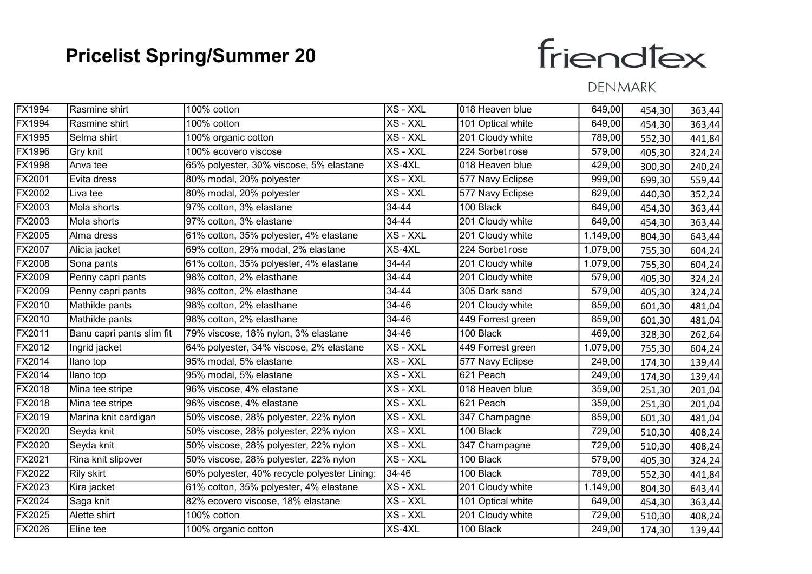# friendfex

| <b>FX1994</b> | Rasmine shirt             | 100% cotton                                  | XS - XXL | 018 Heaven blue   | 649,00   | 454,30 | 363,44 |
|---------------|---------------------------|----------------------------------------------|----------|-------------------|----------|--------|--------|
| <b>FX1994</b> | Rasmine shirt             | 100% cotton                                  | XS - XXL | 101 Optical white | 649,00   | 454,30 | 363,44 |
| FX1995        | Selma shirt               | 100% organic cotton                          | XS - XXL | 201 Cloudy white  | 789,00   | 552,30 | 441,84 |
| FX1996        | Gry knit                  | 100% ecovero viscose                         | XS - XXL | 224 Sorbet rose   | 579,00   | 405,30 | 324,24 |
| <b>FX1998</b> | Anva tee                  | 65% polyester, 30% viscose, 5% elastane      | XS-4XL   | 018 Heaven blue   | 429,00   | 300,30 | 240,24 |
| <b>FX2001</b> | Evita dress               | 80% modal, 20% polyester                     | XS - XXL | 577 Navy Eclipse  | 999,00   | 699,30 | 559,44 |
| <b>FX2002</b> | Liva tee                  | 80% modal, 20% polyester                     | XS - XXL | 577 Navy Eclipse  | 629,00   | 440,30 | 352,24 |
| FX2003        | Mola shorts               | 97% cotton, 3% elastane                      | 34-44    | 100 Black         | 649,00   | 454,30 | 363,44 |
| FX2003        | Mola shorts               | 97% cotton, 3% elastane                      | 34-44    | 201 Cloudy white  | 649,00   | 454,30 | 363,44 |
| FX2005        | Alma dress                | 61% cotton, 35% polyester, 4% elastane       | XS - XXL | 201 Cloudy white  | 1.149,00 | 804,30 | 643,44 |
| <b>FX2007</b> | Alicia jacket             | 69% cotton, 29% modal, 2% elastane           | $XS-4XL$ | 224 Sorbet rose   | 1.079,00 | 755,30 | 604,24 |
| <b>FX2008</b> | Sona pants                | 61% cotton, 35% polyester, 4% elastane       | 34-44    | 201 Cloudy white  | 1.079,00 | 755,30 | 604,24 |
| FX2009        | Penny capri pants         | 98% cotton, 2% elasthane                     | 34-44    | 201 Cloudy white  | 579,00   | 405,30 | 324,24 |
| FX2009        | Penny capri pants         | 98% cotton, 2% elasthane                     | 34-44    | 305 Dark sand     | 579,00   | 405,30 | 324,24 |
| <b>FX2010</b> | Mathilde pants            | 98% cotton, 2% elasthane                     | 34-46    | 201 Cloudy white  | 859,00   | 601,30 | 481,04 |
| FX2010        | Mathilde pants            | 98% cotton, 2% elasthane                     | 34-46    | 449 Forrest green | 859,00   | 601,30 | 481,04 |
| FX2011        | Banu capri pants slim fit | 79% viscose, 18% nylon, 3% elastane          | 34-46    | 100 Black         | 469,00   | 328,30 | 262,64 |
| FX2012        | Ingrid jacket             | 64% polyester, 34% viscose, 2% elastane      | XS - XXL | 449 Forrest green | 1.079,00 | 755,30 | 604,24 |
| FX2014        | Ilano top                 | 95% modal, 5% elastane                       | XS - XXL | 577 Navy Eclipse  | 249,00   | 174,30 | 139,44 |
| <b>FX2014</b> | Ilano top                 | 95% modal, 5% elastane                       | XS - XXL | 621 Peach         | 249,00   | 174,30 | 139,44 |
| FX2018        | Mina tee stripe           | 96% viscose, 4% elastane                     | XS - XXL | 018 Heaven blue   | 359,00   | 251,30 | 201,04 |
| FX2018        | Mina tee stripe           | 96% viscose, 4% elastane                     | XS - XXL | 621 Peach         | 359,00   | 251,30 | 201,04 |
| FX2019        | Marina knit cardigan      | 50% viscose, 28% polyester, 22% nylon        | XS - XXL | 347 Champagne     | 859,00   | 601,30 | 481,04 |
| <b>FX2020</b> | Seyda knit                | 50% viscose, 28% polyester, 22% nylon        | XS - XXL | 100 Black         | 729,00   | 510,30 | 408,24 |
| FX2020        | Seyda knit                | 50% viscose, 28% polyester, 22% nylon        | XS - XXL | 347 Champagne     | 729,00   | 510,30 | 408,24 |
| FX2021        | Rina knit slipover        | 50% viscose, 28% polyester, 22% nylon        | XS - XXL | 100 Black         | 579,00   | 405,30 | 324,24 |
| FX2022        | Rily skirt                | 60% polyester, 40% recycle polyester Lining: | 34-46    | 100 Black         | 789,00   | 552,30 | 441,84 |
| FX2023        | Kira jacket               | 61% cotton, 35% polyester, 4% elastane       | XS - XXL | 201 Cloudy white  | 1.149,00 | 804,30 | 643,44 |
| <b>FX2024</b> | Saga knit                 | 82% ecovero viscose, 18% elastane            | XS - XXL | 101 Optical white | 649,00   | 454,30 | 363,44 |
| <b>FX2025</b> | Alette shirt              | 100% cotton                                  | XS - XXL | 201 Cloudy white  | 729,00   | 510,30 | 408,24 |
| FX2026        | Eline tee                 | 100% organic cotton                          | XS-4XL   | 100 Black         | 249,00   | 174,30 | 139,44 |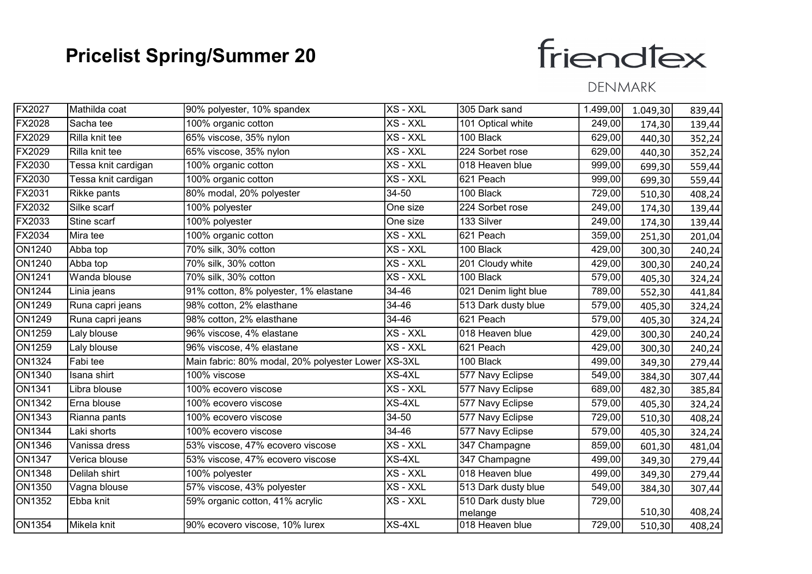# friendfex

| FX2027        | Mathilda coat       | 90% polyester, 10% spandex                         | XS - XXL | 305 Dark sand        | 1.499,00 | 1.049,30 | 839,44 |
|---------------|---------------------|----------------------------------------------------|----------|----------------------|----------|----------|--------|
| FX2028        | Sacha tee           | 100% organic cotton                                | XS - XXL | 101 Optical white    | 249,00   | 174,30   | 139,44 |
| FX2029        | Rilla knit tee      | 65% viscose, 35% nylon                             | XS - XXL | 100 Black            | 629,00   | 440,30   | 352,24 |
| FX2029        | Rilla knit tee      | 65% viscose, 35% nylon                             | XS - XXL | 224 Sorbet rose      | 629,00   | 440,30   | 352,24 |
| FX2030        | Tessa knit cardigan | 100% organic cotton                                | XS - XXL | 018 Heaven blue      | 999,00   | 699,30   | 559,44 |
| FX2030        | Tessa knit cardigan | 100% organic cotton                                | XS - XXL | 621 Peach            | 999,00   | 699,30   | 559,44 |
| FX2031        | Rikke pants         | 80% modal, 20% polyester                           | 34-50    | 100 Black            | 729,00   | 510,30   | 408,24 |
| FX2032        | Silke scarf         | 100% polyester                                     | One size | 224 Sorbet rose      | 249,00   | 174,30   | 139,44 |
| FX2033        | Stine scarf         | 100% polyester                                     | One size | 133 Silver           | 249,00   | 174,30   | 139,44 |
| FX2034        | Mira tee            | 100% organic cotton                                | XS - XXL | 621 Peach            | 359,00   | 251,30   | 201,04 |
| <b>ON1240</b> | Abba top            | $\overline{70}$ % silk, 30% cotton                 | XS - XXL | 100 Black            | 429,00   | 300,30   | 240,24 |
| <b>ON1240</b> | Abba top            | 70% silk, 30% cotton                               | XS - XXL | 201 Cloudy white     | 429,00   | 300,30   | 240,24 |
| <b>ON1241</b> | Wanda blouse        | 70% silk, 30% cotton                               | XS - XXL | 100 Black            | 579,00   | 405,30   | 324,24 |
| <b>ON1244</b> | Linia jeans         | 91% cotton, 8% polyester, 1% elastane              | 34-46    | 021 Denim light blue | 789,00   | 552,30   | 441,84 |
| ON1249        | Runa capri jeans    | 98% cotton, 2% elasthane                           | 34-46    | 513 Dark dusty blue  | 579,00   | 405,30   | 324,24 |
| <b>ON1249</b> | Runa capri jeans    | 98% cotton, 2% elasthane                           | 34-46    | 621 Peach            | 579,00   | 405,30   | 324,24 |
| <b>ON1259</b> | Laly blouse         | 96% viscose, 4% elastane                           | XS - XXL | 018 Heaven blue      | 429,00   | 300,30   | 240,24 |
| <b>ON1259</b> | Laly blouse         | 96% viscose, 4% elastane                           | XS - XXL | 621 Peach            | 429,00   | 300,30   | 240,24 |
| <b>ON1324</b> | Fabi tee            | Main fabric: 80% modal, 20% polyester Lower XS-3XL |          | 100 Black            | 499,00   | 349,30   | 279,44 |
| <b>ON1340</b> | Isana shirt         | 100% viscose                                       | XS-4XL   | 577 Navy Eclipse     | 549,00   | 384,30   | 307,44 |
| <b>ON1341</b> | Libra blouse        | 100% ecovero viscose                               | XS - XXL | 577 Navy Eclipse     | 689,00   | 482,30   | 385,84 |
| <b>ON1342</b> | Erna blouse         | 100% ecovero viscose                               | XS-4XL   | 577 Navy Eclipse     | 579,00   | 405,30   | 324,24 |
| <b>ON1343</b> | Rianna pants        | 100% ecovero viscose                               | 34-50    | 577 Navy Eclipse     | 729,00   | 510,30   | 408,24 |
| <b>ON1344</b> | Laki shorts         | 100% ecovero viscose                               | 34-46    | 577 Navy Eclipse     | 579,00   | 405,30   | 324,24 |
| ON1346        | Vanissa dress       | 53% viscose, 47% ecovero viscose                   | XS - XXL | 347 Champagne        | 859,00   | 601,30   | 481,04 |
| <b>ON1347</b> | Verica blouse       | 53% viscose, 47% ecovero viscose                   | XS-4XL   | 347 Champagne        | 499,00   | 349,30   | 279,44 |
| <b>ON1348</b> | Delilah shirt       | 100% polyester                                     | XS - XXL | 018 Heaven blue      | 499,00   | 349,30   | 279,44 |
| <b>ON1350</b> | Vagna blouse        | 57% viscose, 43% polyester                         | XS - XXL | 513 Dark dusty blue  | 549,00   | 384,30   | 307,44 |
| <b>ON1352</b> | Ebba knit           | 59% organic cotton, 41% acrylic                    | XS - XXL | 510 Dark dusty blue  | 729,00   |          |        |
|               |                     |                                                    |          | melange              |          | 510,30   | 408,24 |
| <b>ON1354</b> | Mikela knit         | 90% ecovero viscose, 10% lurex                     | $XS-4XL$ | 018 Heaven blue      | 729,00   | 510,30   | 408,24 |